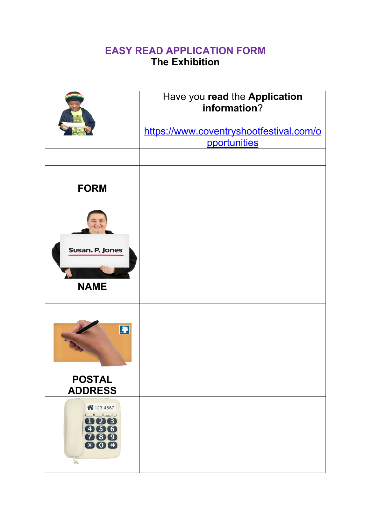## **EASY READ APPLICATION FORM The Exhibition**

|                                                                                                                                                                                                                                                                                                                                                                                                                                                        | Have you read the Application<br>information?<br>https://www.coventryshootfestival.com/o<br>pportunities |
|--------------------------------------------------------------------------------------------------------------------------------------------------------------------------------------------------------------------------------------------------------------------------------------------------------------------------------------------------------------------------------------------------------------------------------------------------------|----------------------------------------------------------------------------------------------------------|
| <b>FORM</b>                                                                                                                                                                                                                                                                                                                                                                                                                                            |                                                                                                          |
| Susan. P. Jones<br><b>NAME</b>                                                                                                                                                                                                                                                                                                                                                                                                                         |                                                                                                          |
| $\begin{array}{ c } \hline \textbf{B} \\ \hline \textbf{C} \end{array}$<br><b>POSTAL</b><br><b>ADDRESS</b>                                                                                                                                                                                                                                                                                                                                             |                                                                                                          |
| 合123 4567<br>$\begin{picture}(150,10) \put(0,0){\dashbox{0.5}(10,0){ }} \put(150,0){\circle{10}} \put(150,0){\circle{10}} \put(150,0){\circle{10}} \put(150,0){\circle{10}} \put(150,0){\circle{10}} \put(150,0){\circle{10}} \put(150,0){\circle{10}} \put(150,0){\circle{10}} \put(150,0){\circle{10}} \put(150,0){\circle{10}} \put(150,0){\circle{10}} \put(150,0){\circle{10}} \put(150,$<br>008<br>456<br>080<br>$\bullet$ 0 $\bullet$<br>$\geq$ |                                                                                                          |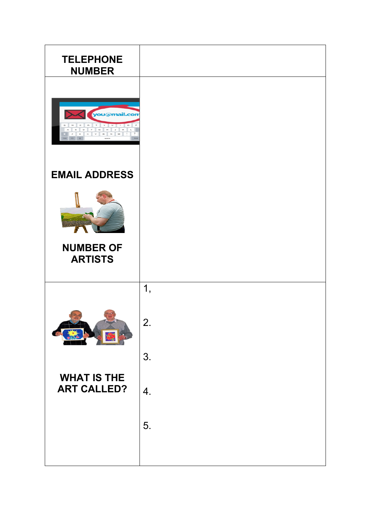| <b>TELEPHONE</b><br><b>NUMBER</b>        |    |
|------------------------------------------|----|
| you@mail.cor<br>a                        |    |
| <b>EMAIL ADDRESS</b>                     |    |
|                                          |    |
| <b>NUMBER OF</b><br><b>ARTISTS</b>       |    |
|                                          | 1, |
|                                          | 2. |
|                                          | 3. |
| <b>WHAT IS THE</b><br><b>ART CALLED?</b> | 4. |
|                                          | 5. |
|                                          |    |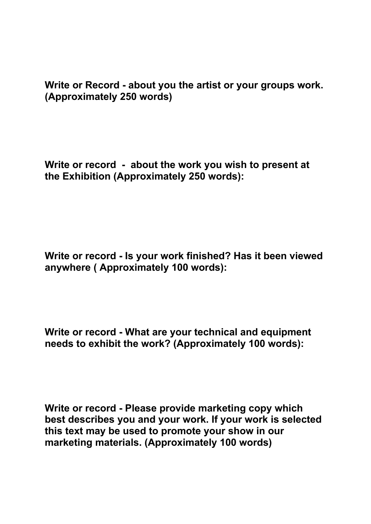**Write or Record - about you the artist or your groups work. (Approximately 250 words)** 

**Write or record - about the work you wish to present at the Exhibition (Approximately 250 words):**

**Write or record - Is your work finished? Has it been viewed anywhere ( Approximately 100 words):**

**Write or record - What are your technical and equipment needs to exhibit the work? (Approximately 100 words):**

**Write or record - Please provide marketing copy which best describes you and your work. If your work is selected this text may be used to promote your show in our marketing materials. (Approximately 100 words)**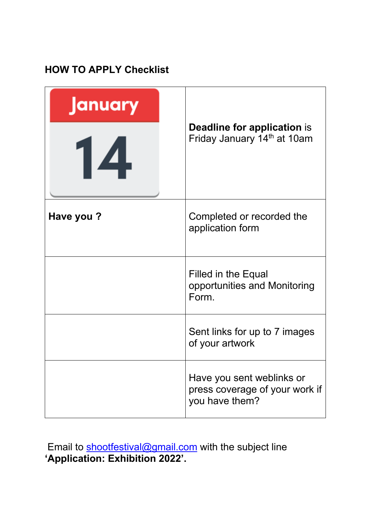## **HOW TO APPLY Checklist**

| anuary<br>14 | <b>Deadline for application is</b><br>Friday January 14th at 10am             |
|--------------|-------------------------------------------------------------------------------|
| Have you?    | Completed or recorded the<br>application form                                 |
|              | Filled in the Equal<br>opportunities and Monitoring<br>Form.                  |
|              | Sent links for up to 7 images<br>of your artwork                              |
|              | Have you sent weblinks or<br>press coverage of your work if<br>you have them? |

Email to shootfestival@gmail.com with the subject line **'Application: Exhibition 2022'.**